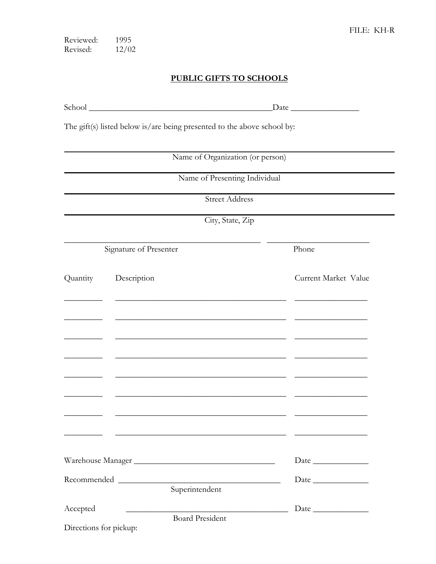1995 Reviewed: Revised:  $12/02$ 

## PUBLIC GIFTS TO SCHOOLS

 $\fbox{\texttt{Date}}$ 

The gift(s) listed below is/are being presented to the above school by:

| Name of Organization (or person)<br>Name of Presenting Individual |                                                                                       |                      |  |
|-------------------------------------------------------------------|---------------------------------------------------------------------------------------|----------------------|--|
|                                                                   |                                                                                       |                      |  |
|                                                                   | City, State, Zip                                                                      |                      |  |
| Signature of Presenter                                            |                                                                                       | Phone                |  |
| Quantity                                                          | Description                                                                           | Current Market Value |  |
|                                                                   |                                                                                       |                      |  |
|                                                                   |                                                                                       |                      |  |
|                                                                   |                                                                                       |                      |  |
|                                                                   |                                                                                       |                      |  |
|                                                                   |                                                                                       |                      |  |
|                                                                   |                                                                                       |                      |  |
|                                                                   |                                                                                       |                      |  |
|                                                                   |                                                                                       |                      |  |
| Warehouse Manager                                                 |                                                                                       | Date                 |  |
|                                                                   | <u> 1989 - Johann Barbara, martxa alemaniar amerikan basar da a</u><br>Superintendent | Date                 |  |
| Accepted                                                          | <u> 1980 - Johann Barbara, martxa alemaniar amerikan a</u><br><b>Board President</b>  |                      |  |
| Directions for pickup:                                            |                                                                                       |                      |  |